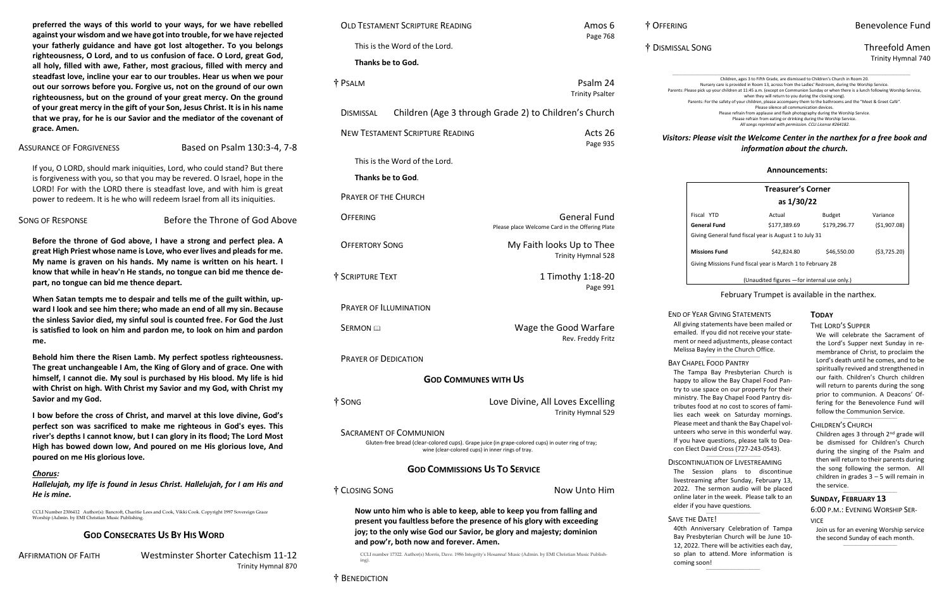### † OFFERING Benevolence Fund

#### † DISMISSAL SONG Threefold Amen Trinity Hymnal 740

*Visitors: Please visit the Welcome Center in the narthex for a free book and information about the church.*

**preferred the ways of this world to your ways, for we have rebelled against your wisdom and we have got into trouble, for we have rejected your fatherly guidance and have got lost altogether. To you belongs righteousness, O Lord, and to us confusion of face. O Lord, great God, all holy, filled with awe, Father, most gracious, filled with mercy and steadfast love, incline your ear to our troubles. Hear us when we pour out our sorrows before you. Forgive us, not on the ground of our own righteousness, but on the ground of your great mercy. On the ground of your great mercy in the gift of your Son, Jesus Christ. It is in his name that we pray, for he is our Savior and the mediator of the covenant of grace. Amen.** 

ASSURANCE OF FORGIVENESS Based on Psalm 130:3-4, 7-8

If you, O LORD, should mark iniquities, Lord, who could stand? But there is forgiveness with you, so that you may be revered. O Israel, hope in the LORD! For with the LORD there is steadfast love, and with him is great power to redeem. It is he who will redeem Israel from all its iniquities.

SONG OF RESPONSE **Before the Throne of God Above** 

**Before the throne of God above, I have a strong and perfect plea. A great High Priest whose name is Love, who ever lives and pleads for me. My name is graven on his hands. My name is written on his heart. I know that while in heav'n He stands, no tongue can bid me thence depart, no tongue can bid me thence depart.**

| <b>OLD TESTAMENT SCRIPTURE READING</b>                                                                                                                                                   | Amos 6<br>Page 768                                                                                                 | † OFFERING                                                                                                                                                                                                           | Benevolence                                                                                                                                                                                                                                                                                                                                                                                                                                                                                      |
|------------------------------------------------------------------------------------------------------------------------------------------------------------------------------------------|--------------------------------------------------------------------------------------------------------------------|----------------------------------------------------------------------------------------------------------------------------------------------------------------------------------------------------------------------|--------------------------------------------------------------------------------------------------------------------------------------------------------------------------------------------------------------------------------------------------------------------------------------------------------------------------------------------------------------------------------------------------------------------------------------------------------------------------------------------------|
| This is the Word of the Lord.                                                                                                                                                            |                                                                                                                    | † DISMISSAL SONG                                                                                                                                                                                                     | Threefold A                                                                                                                                                                                                                                                                                                                                                                                                                                                                                      |
| Thanks be to God.                                                                                                                                                                        |                                                                                                                    |                                                                                                                                                                                                                      | <b>Trinity Hymr</b>                                                                                                                                                                                                                                                                                                                                                                                                                                                                              |
| † PSALM                                                                                                                                                                                  | Psalm 24<br><b>Trinity Psalter</b>                                                                                 |                                                                                                                                                                                                                      | Children, ages 3 to Fifth Grade, are dismissed to Children's Church in Room 20<br>Nursery care is provided in Room 13, across from the Ladies' Restroom, during the Worship Service.<br>Parents: Please pick up your children at 11:45 a.m. (except on Communion Sunday or when there is a lunch following Worship Se<br>when they will return to you during the closing song).<br>Parents: For the safety of your children, please accompany them to the bathrooms and the "Meet & Greet Café". |
| <b>DISMISSAL</b>                                                                                                                                                                         | Children (Age 3 through Grade 2) to Children's Church                                                              |                                                                                                                                                                                                                      | Please silence all communication devices.<br>Please refrain from applause and flash photography during the Worship Service.<br>Please refrain from eating or drinking during the Worship Service.<br>All songs reprinted with permission. CCLI License #264182.                                                                                                                                                                                                                                  |
| <b>NEW TESTAMENT SCRIPTURE READING</b>                                                                                                                                                   | Acts 26<br>Page 935                                                                                                |                                                                                                                                                                                                                      | Visitors: Please visit the Welcome Center in the narthex for a free book<br>information about the church.                                                                                                                                                                                                                                                                                                                                                                                        |
| This is the Word of the Lord.                                                                                                                                                            |                                                                                                                    |                                                                                                                                                                                                                      | Announcements:                                                                                                                                                                                                                                                                                                                                                                                                                                                                                   |
| Thanks be to God.                                                                                                                                                                        |                                                                                                                    |                                                                                                                                                                                                                      |                                                                                                                                                                                                                                                                                                                                                                                                                                                                                                  |
| <b>PRAYER OF THE CHURCH</b>                                                                                                                                                              |                                                                                                                    |                                                                                                                                                                                                                      | <b>Treasurer's Corner</b><br>as 1/30/22                                                                                                                                                                                                                                                                                                                                                                                                                                                          |
| <b>OFFERING</b>                                                                                                                                                                          | <b>General Fund</b><br>Please place Welcome Card in the Offering Plate                                             | Fiscal YTD<br><b>General Fund</b>                                                                                                                                                                                    | Actual<br>Variance<br>Budget<br>\$177,389.69<br>\$179,296.77<br>(\$1,907.08)                                                                                                                                                                                                                                                                                                                                                                                                                     |
| <b>OFFERTORY SONG</b>                                                                                                                                                                    | My Faith looks Up to Thee<br><b>Trinity Hymnal 528</b>                                                             | Giving General fund fiscal year is August 1 to July 31<br><b>Missions Fund</b>                                                                                                                                       | \$42,824.80<br>( \$3,725.20)<br>\$46,550.00                                                                                                                                                                                                                                                                                                                                                                                                                                                      |
| † SCRIPTURE TEXT                                                                                                                                                                         | 1 Timothy 1:18-20                                                                                                  | Giving Missions Fund fiscal year is March 1 to February 28                                                                                                                                                           |                                                                                                                                                                                                                                                                                                                                                                                                                                                                                                  |
|                                                                                                                                                                                          | Page 991                                                                                                           |                                                                                                                                                                                                                      | (Unaudited figures - for internal use only.)<br>February Trumpet is available in the narthex.                                                                                                                                                                                                                                                                                                                                                                                                    |
| <b>PRAYER OF ILLUMINATION</b>                                                                                                                                                            |                                                                                                                    |                                                                                                                                                                                                                      |                                                                                                                                                                                                                                                                                                                                                                                                                                                                                                  |
| SERMON <sub>IA</sub>                                                                                                                                                                     | Wage the Good Warfare<br>Rev. Freddy Fritz                                                                         | <b>END OF YEAR GIVING STATEMENTS</b><br>All giving statements have been mailed or<br>emailed. If you did not receive your state-<br>ment or need adjustments, please contact<br>Melissa Bayley in the Church Office. | <b>TODAY</b><br>THE LORD'S SUPPER<br>We will celebrate the Sacramer<br>the Lord's Supper next Sunday i                                                                                                                                                                                                                                                                                                                                                                                           |
| <b>PRAYER OF DEDICATION</b>                                                                                                                                                              |                                                                                                                    | <b>BAY CHAPEL FOOD PANTRY</b>                                                                                                                                                                                        | membrance of Christ, to proclair<br>Lord's death until he comes, and                                                                                                                                                                                                                                                                                                                                                                                                                             |
| <b>GOD COMMUNES WITH US</b>                                                                                                                                                              |                                                                                                                    | The Tampa Bay Presbyterian Church is<br>happy to allow the Bay Chapel Food Pan-<br>try to use space on our property for their                                                                                        | spiritually revived and strengthen<br>our faith. Children's Church chi<br>will return to parents during the                                                                                                                                                                                                                                                                                                                                                                                      |
| † SONG                                                                                                                                                                                   | Love Divine, All Loves Excelling<br>Trinity Hymnal 529                                                             | ministry. The Bay Chapel Food Pantry dis-<br>tributes food at no cost to scores of fami-<br>lies each week on Saturday mornings.<br>Please meet and thank the Bay Chapel vol-                                        | prior to communion. A Deacons<br>fering for the Benevolence Fund<br>follow the Communion Service.<br>CHILDREN'S CHURCH                                                                                                                                                                                                                                                                                                                                                                           |
| <b>SACRAMENT OF COMMUNION</b><br>Gluten-free bread (clear-colored cups). Grape juice (in grape-colored cups) in outer ring of tray;<br>wine (clear-colored cups) in inner rings of tray. |                                                                                                                    | unteers who serve in this wonderful way.<br>If you have questions, please talk to Dea-<br>con Elect David Cross (727-243-0543).                                                                                      | Children ages 3 through 2 <sup>nd</sup> grad<br>be dismissed for Children's Ch<br>during the singing of the Psalm                                                                                                                                                                                                                                                                                                                                                                                |
| <b>GOD COMMISSIONS US TO SERVICE</b>                                                                                                                                                     |                                                                                                                    | <b>DISCONTINUATION OF LIVESTREAMING</b><br>The Session plans to discontinue                                                                                                                                          | then will return to their parents d<br>the song following the sermon.<br>children in grades $3 - 5$ will rema                                                                                                                                                                                                                                                                                                                                                                                    |
| † CLOSING SONG                                                                                                                                                                           | Now Unto Him                                                                                                       | livestreaming after Sunday, February 13,<br>2022. The sermon audio will be placed<br>online later in the week. Please talk to an                                                                                     | the service.<br><b>SUNDAY, FEBRUARY 13</b>                                                                                                                                                                                                                                                                                                                                                                                                                                                       |
| Now unto him who is able to keep, able to keep you from falling and                                                                                                                      |                                                                                                                    | elder if you have questions.                                                                                                                                                                                         | 6:00 P.M.: EVENING WORSHIP SE                                                                                                                                                                                                                                                                                                                                                                                                                                                                    |
| present you faultless before the presence of his glory with exceeding<br>joy; to the only wise God our Savior, be glory and majesty; dominion<br>and pow'r, both now and forever. Amen.  |                                                                                                                    | SAVE THE DATE!<br>40th Anniversary Celebration of Tampa<br>Bay Presbyterian Church will be June 10-<br>12, 2022. There will be activities each day,                                                                  | <b>VICE</b><br>Join us for an evening Worship se<br>the second Sunday of each montl                                                                                                                                                                                                                                                                                                                                                                                                              |
| ing).                                                                                                                                                                                    | CCLI number 17322. Author(s) Morris, Dave. 1986 Integrity's Hosanna! Music (Admin. by EMI Christian Music Publish- | so plan to attend. More information is<br>coming soon!                                                                                                                                                               |                                                                                                                                                                                                                                                                                                                                                                                                                                                                                                  |
| † BENEDICTION                                                                                                                                                                            |                                                                                                                    |                                                                                                                                                                                                                      |                                                                                                                                                                                                                                                                                                                                                                                                                                                                                                  |

**When Satan tempts me to despair and tells me of the guilt within, upward I look and see him there; who made an end of all my sin. Because the sinless Savior died, my sinful soul is counted free. For God the Just is satisfied to look on him and pardon me, to look on him and pardon me.**

**Behold him there the Risen Lamb. My perfect spotless righteousness. The great unchangeable I Am, the King of Glory and of grace. One with himself, I cannot die. My soul is purchased by His blood. My life is hid with Christ on high. With Christ my Savior and my God, with Christ my Savior and my God.**

> Children ages 3 through 2<sup>nd</sup> grade will be dismissed for Children's Church during the singing of the Psalm and then will return to their parents during the song following the sermon. All children in grades 3 – 5 will remain in the service.

Join us for an evening Worship service the second Sunday of each month.  $\_$ 

**I bow before the cross of Christ, and marvel at this love divine, God's perfect son was sacrificed to make me righteous in God's eyes. This river's depths I cannot know, but I can glory in its flood; The Lord Most High has bowed down low, And poured on me His glorious love, And poured on me His glorious love.** 

#### *Chorus:*

*Hallelujah, my life is found in Jesus Christ. Hallelujah, for I am His and He is mine.* 

#### \_\_\_\_\_\_\_\_\_\_\_\_\_\_\_\_\_\_\_\_\_\_\_\_\_\_\_\_\_\_\_\_\_\_\_ CONTINUATION OF LIVESTREAMING

#### 'E THE DATE!

CCLI Number 2306412 Author(s): Bancroft, Charitie Lees and Cook, Vikki Cook. Copyright 1997 Sovereign Grace Worship (Admin. by EMI Christian Music Publishing.

#### **GOD CONSECRATES US BY HIS WORD**

AFFIRMATION OF FAITH Westminster Shorter Catechism 11-12 Trinity Hymnal 870

#### **Announcements:**

| <b>Treasurer's Corner</b><br>as 1/30/22                    |              |               |               |  |  |  |  |  |
|------------------------------------------------------------|--------------|---------------|---------------|--|--|--|--|--|
| Fiscal YTD                                                 | Actual       | <b>Budget</b> | Variance      |  |  |  |  |  |
| General Fund                                               | \$177,389.69 | \$179,296.77  | ( \$1,907.08) |  |  |  |  |  |
| Giving General fund fiscal year is August 1 to July 31     |              |               |               |  |  |  |  |  |
| \$42,824.80<br><b>Missions Fund</b>                        |              | \$46,550.00   | (53, 725.20)  |  |  |  |  |  |
| Giving Missions Fund fiscal year is March 1 to February 28 |              |               |               |  |  |  |  |  |
| (Unaudited figures - for internal use only.)               |              |               |               |  |  |  |  |  |

#### OF YEAR GIVING STATEMENTS

#### **CHAPEL FOOD PANTRY**

#### **TODAY**

#### THE LORD'S SUPPER

We will celebrate the Sacrament of the Lord's Supper next Sunday in remembrance of Christ, to proclaim the Lord's death until he comes, and to be spiritually revived and strengthened in our faith. Children's Church children will return to parents during the song prior to communion. A Deacons' Offering for the Benevolence Fund will follow the Communion Service.

#### CHILDREN'S CHURCH

#### **SUNDAY, FEBRUARY 13**

6:00 P.M.: EVENING WORSHIP SER-VICE